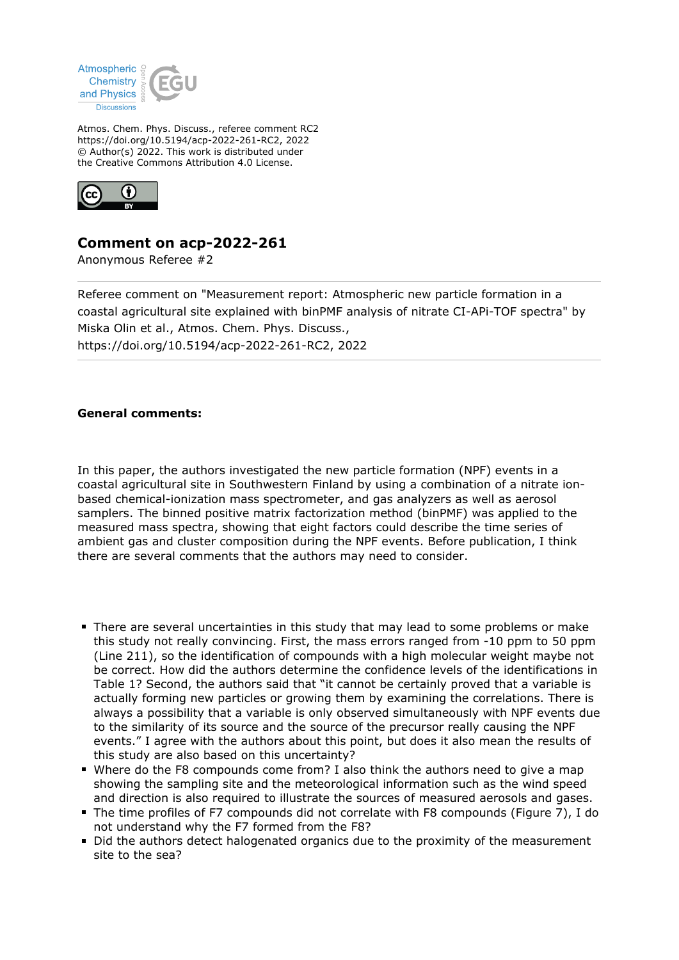

Atmos. Chem. Phys. Discuss., referee comment RC2 https://doi.org/10.5194/acp-2022-261-RC2, 2022 © Author(s) 2022. This work is distributed under the Creative Commons Attribution 4.0 License.



## **Comment on acp-2022-261**

Anonymous Referee #2

Referee comment on "Measurement report: Atmospheric new particle formation in a coastal agricultural site explained with binPMF analysis of nitrate CI-APi-TOF spectra" by Miska Olin et al., Atmos. Chem. Phys. Discuss., https://doi.org/10.5194/acp-2022-261-RC2, 2022

## **General comments:**

In this paper, the authors investigated the new particle formation (NPF) events in a coastal agricultural site in Southwestern Finland by using a combination of a nitrate ionbased chemical-ionization mass spectrometer, and gas analyzers as well as aerosol samplers. The binned positive matrix factorization method (binPMF) was applied to the measured mass spectra, showing that eight factors could describe the time series of ambient gas and cluster composition during the NPF events. Before publication, I think there are several comments that the authors may need to consider.

- There are several uncertainties in this study that may lead to some problems or make this study not really convincing. First, the mass errors ranged from -10 ppm to 50 ppm (Line 211), so the identification of compounds with a high molecular weight maybe not be correct. How did the authors determine the confidence levels of the identifications in Table 1? Second, the authors said that "it cannot be certainly proved that a variable is actually forming new particles or growing them by examining the correlations. There is always a possibility that a variable is only observed simultaneously with NPF events due to the similarity of its source and the source of the precursor really causing the NPF events." I agree with the authors about this point, but does it also mean the results of this study are also based on this uncertainty?
- Where do the F8 compounds come from? I also think the authors need to give a map showing the sampling site and the meteorological information such as the wind speed and direction is also required to illustrate the sources of measured aerosols and gases.
- The time profiles of F7 compounds did not correlate with F8 compounds (Figure 7), I do not understand why the F7 formed from the F8?
- Did the authors detect halogenated organics due to the proximity of the measurement site to the sea?